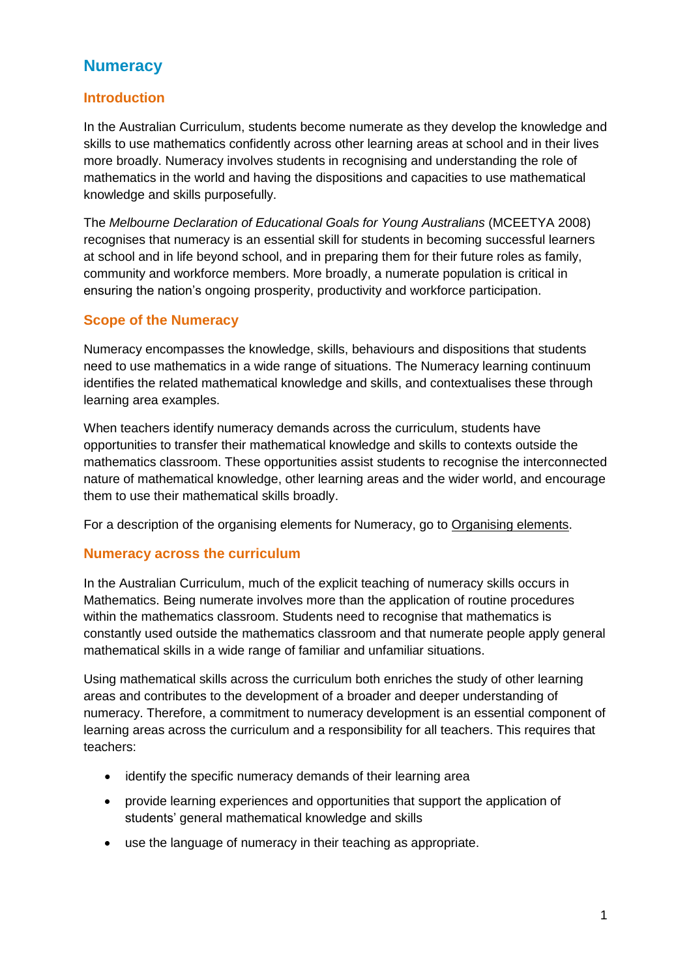### **Numeracy**

#### **Introduction**

In the Australian Curriculum, students become numerate as they develop the knowledge and skills to use mathematics confidently across other learning areas at school and in their lives more broadly. Numeracy involves students in recognising and understanding the role of mathematics in the world and having the dispositions and capacities to use mathematical knowledge and skills purposefully.

The *Melbourne Declaration of Educational Goals for Young Australians* (MCEETYA 2008) recognises that numeracy is an essential skill for students in becoming successful learners at school and in life beyond school, and in preparing them for their future roles as family, community and workforce members. More broadly, a numerate population is critical in ensuring the nation's ongoing prosperity, productivity and workforce participation.

### **Scope of the Numeracy**

Numeracy encompasses the knowledge, skills, behaviours and dispositions that students need to use mathematics in a wide range of situations. The Numeracy learning continuum identifies the related mathematical knowledge and skills, and contextualises these through learning area examples.

When teachers identify numeracy demands across the curriculum, students have opportunities to transfer their mathematical knowledge and skills to contexts outside the mathematics classroom. These opportunities assist students to recognise the interconnected nature of mathematical knowledge, other learning areas and the wider world, and encourage them to use their mathematical skills broadly.

For a description of the organising elements for Numeracy, go to Organising elements.

### **Numeracy across the curriculum**

In the Australian Curriculum, much of the explicit teaching of numeracy skills occurs in Mathematics. Being numerate involves more than the application of routine procedures within the mathematics classroom. Students need to recognise that mathematics is constantly used outside the mathematics classroom and that numerate people apply general mathematical skills in a wide range of familiar and unfamiliar situations.

Using mathematical skills across the curriculum both enriches the study of other learning areas and contributes to the development of a broader and deeper understanding of numeracy. Therefore, a commitment to numeracy development is an essential component of learning areas across the curriculum and a responsibility for all teachers. This requires that teachers:

- identify the specific numeracy demands of their learning area
- provide learning experiences and opportunities that support the application of students' general mathematical knowledge and skills
- use the language of numeracy in their teaching as appropriate.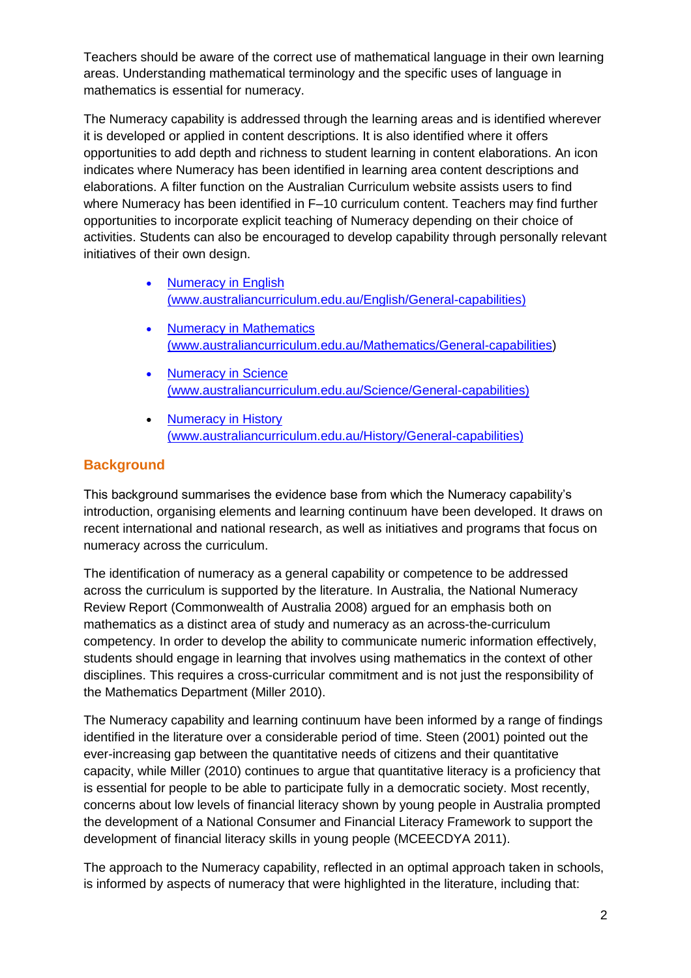Teachers should be aware of the correct use of mathematical language in their own learning areas. Understanding mathematical terminology and the specific uses of language in mathematics is essential for numeracy.

The Numeracy capability is addressed through the learning areas and is identified wherever it is developed or applied in content descriptions. It is also identified where it offers opportunities to add depth and richness to student learning in content elaborations. An icon indicates where Numeracy has been identified in learning area content descriptions and elaborations. A filter function on the Australian Curriculum website assists users to find where Numeracy has been identified in F–10 curriculum content. Teachers may find further opportunities to incorporate explicit teaching of Numeracy depending on their choice of activities. Students can also be encouraged to develop capability through personally relevant initiatives of their own design.

- [Numeracy in English](http://www.australiancurriculum.edu.au/English/General-capabilities#Critical-and-creative-thinking) [\(www.australiancurriculum.edu.au/English/General-capabilities\)](http://www.australiancurriculum.edu.au/English/General-capabilities)
- Numeracy in Mathematics [\(www.australiancurriculum.edu.au/Mathematics/General-capabilities\)](http://www.australiancurriculum.edu.au/Mathematics/General-capabilities)
- Numeracy in Science [\(www.australiancurriculum.edu.au/Science/General-capabilities\)](http://www.australiancurriculum.edu.au/Science/General-capabilities)
- [Numeracy in History](http://www.australiancurriculum.edu.au/History/General-capabilities#Critical-and-creative-thinking)  [\(www.australiancurriculum.edu.au/History/General-capabilities\)](http://www.australiancurriculum.edu.au/History/General-capabilities)

### **Background**

This background summarises the evidence base from which the Numeracy capability's introduction, organising elements and learning continuum have been developed. It draws on recent international and national research, as well as initiatives and programs that focus on numeracy across the curriculum.

The identification of numeracy as a general capability or competence to be addressed across the curriculum is supported by the literature. In Australia, the National Numeracy Review Report (Commonwealth of Australia 2008) argued for an emphasis both on mathematics as a distinct area of study and numeracy as an across-the-curriculum competency. In order to develop the ability to communicate numeric information effectively, students should engage in learning that involves using mathematics in the context of other disciplines. This requires a cross-curricular commitment and is not just the responsibility of the Mathematics Department (Miller 2010).

The Numeracy capability and learning continuum have been informed by a range of findings identified in the literature over a considerable period of time. Steen (2001) pointed out the ever-increasing gap between the quantitative needs of citizens and their quantitative capacity, while Miller (2010) continues to argue that quantitative literacy is a proficiency that is essential for people to be able to participate fully in a democratic society. Most recently, concerns about low levels of financial literacy shown by young people in Australia prompted the development of a National Consumer and Financial Literacy Framework to support the development of financial literacy skills in young people (MCEECDYA 2011).

The approach to the Numeracy capability, reflected in an optimal approach taken in schools, is informed by aspects of numeracy that were highlighted in the literature, including that: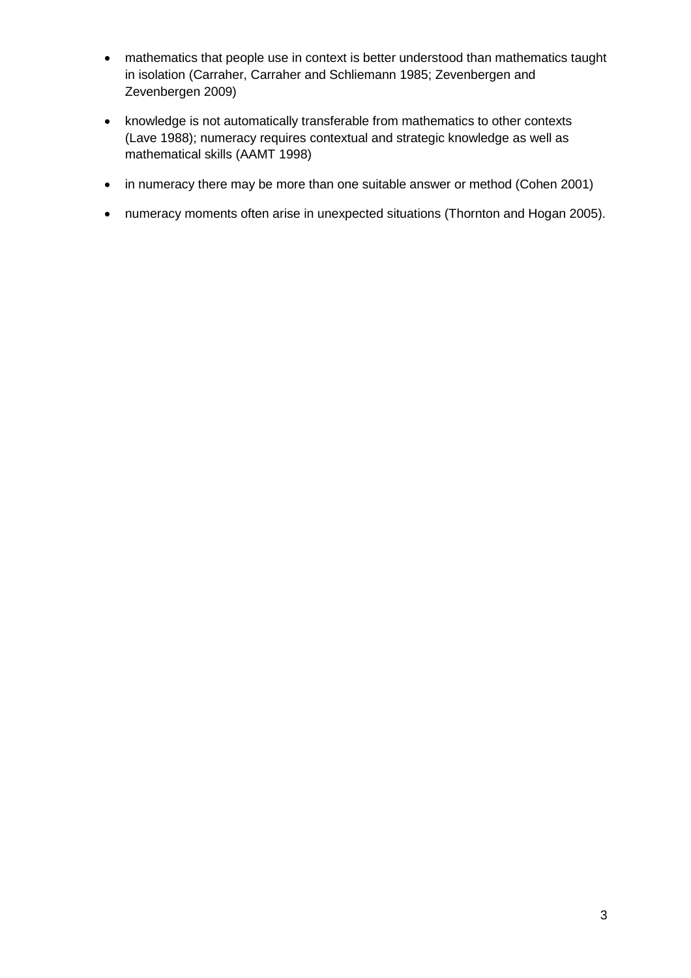- mathematics that people use in context is better understood than mathematics taught in isolation (Carraher, Carraher and Schliemann 1985; Zevenbergen and Zevenbergen 2009)
- knowledge is not automatically transferable from mathematics to other contexts (Lave 1988); numeracy requires contextual and strategic knowledge as well as mathematical skills (AAMT 1998)
- in numeracy there may be more than one suitable answer or method (Cohen 2001)
- numeracy moments often arise in unexpected situations (Thornton and Hogan 2005).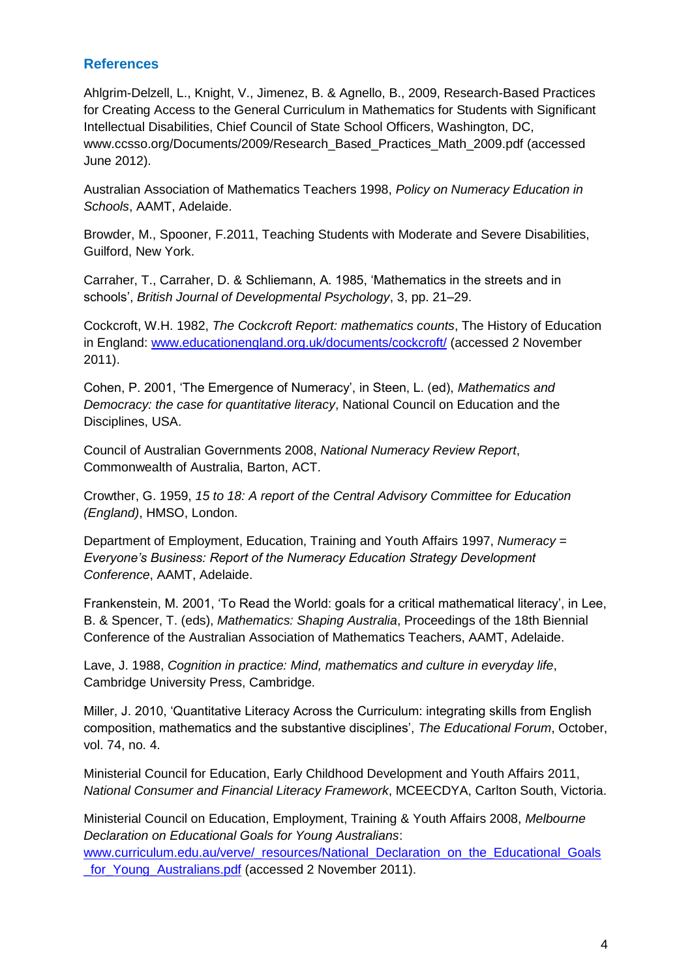#### **References**

Ahlgrim-Delzell, L., Knight, V., Jimenez, B. & Agnello, B., 2009, Research-Based Practices for Creating Access to the General Curriculum in Mathematics for Students with Significant Intellectual Disabilities, Chief Council of State School Officers, Washington, DC, www.ccsso.org/Documents/2009/Research\_Based\_Practices\_Math\_2009.pdf (accessed June 2012).

Australian Association of Mathematics Teachers 1998, *Policy on Numeracy Education in Schools*, AAMT, Adelaide.

Browder, M., Spooner, F.2011, Teaching Students with Moderate and Severe Disabilities, Guilford, New York.

Carraher, T., Carraher, D. & Schliemann, A. 1985, 'Mathematics in the streets and in schools', *British Journal of Developmental Psychology*, 3, pp. 21–29.

Cockcroft, W.H. 1982, *The Cockcroft Report: mathematics counts*, The History of Education in England: [www.educationengland.org.uk/documents/cockcroft/](http://www.educationengland.org.uk/documents/cockcroft/) (accessed 2 November 2011).

Cohen, P. 2001, 'The Emergence of Numeracy', in Steen, L. (ed), *Mathematics and Democracy: the case for quantitative literacy*, National Council on Education and the Disciplines, USA.

Council of Australian Governments 2008, *National Numeracy Review Report*, Commonwealth of Australia, Barton, ACT.

Crowther, G. 1959, *15 to 18: A report of the Central Advisory Committee for Education (England)*, HMSO, London.

Department of Employment, Education, Training and Youth Affairs 1997, *Numeracy = Everyone's Business: Report of the Numeracy Education Strategy Development Conference*, AAMT, Adelaide.

Frankenstein, M. 2001, 'To Read the World: goals for a critical mathematical literacy', in Lee, B. & Spencer, T. (eds), *Mathematics: Shaping Australia*, Proceedings of the 18th Biennial Conference of the Australian Association of Mathematics Teachers, AAMT, Adelaide.

Lave, J. 1988, *Cognition in practice: Mind, mathematics and culture in everyday life*, Cambridge University Press, Cambridge.

Miller, J. 2010, 'Quantitative Literacy Across the Curriculum: integrating skills from English composition, mathematics and the substantive disciplines', *The Educational Forum*, October, vol. 74, no. 4.

Ministerial Council for Education, Early Childhood Development and Youth Affairs 2011, *National Consumer and Financial Literacy Framework*, MCEECDYA, Carlton South, Victoria.

Ministerial Council on Education, Employment, Training & Youth Affairs 2008, *Melbourne Declaration on Educational Goals for Young Australians*: [www.curriculum.edu.au/verve/\\_resources/National\\_Declaration\\_on\\_the\\_Educational\\_Goals](http://www.curriculum.edu.au/verve/_resources/National_Declaration_on_the_Educational_Goals_for_Young_Australians.pdf) [\\_for\\_Young\\_Australians.pdf](http://www.curriculum.edu.au/verve/_resources/National_Declaration_on_the_Educational_Goals_for_Young_Australians.pdf) (accessed 2 November 2011).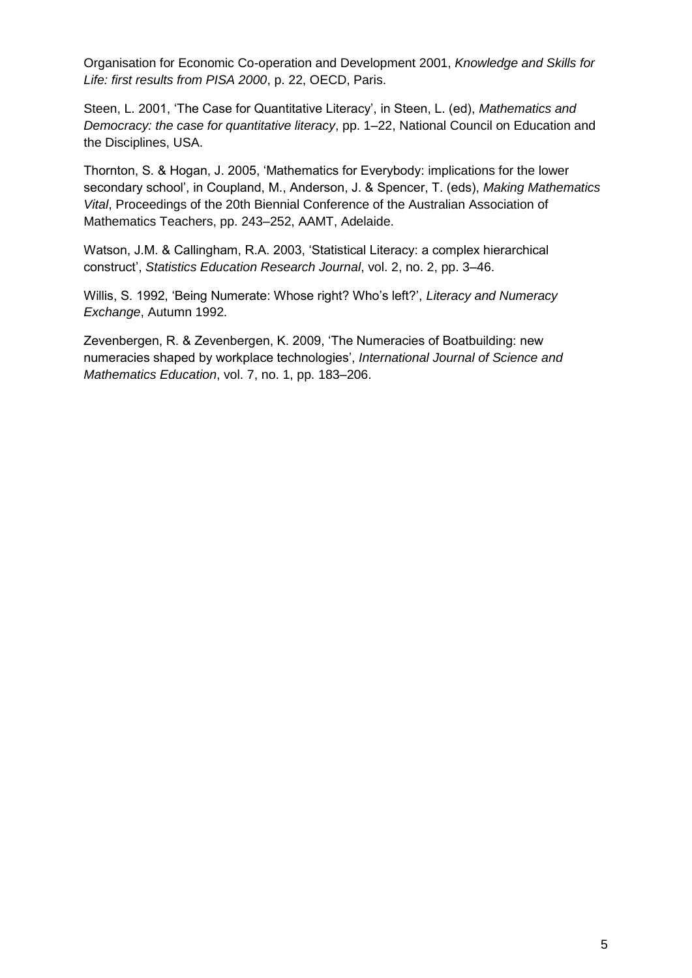Organisation for Economic Co-operation and Development 2001, *Knowledge and Skills for Life: first results from PISA 2000*, p. 22, OECD, Paris.

Steen, L. 2001, 'The Case for Quantitative Literacy', in Steen, L. (ed), *Mathematics and Democracy: the case for quantitative literacy*, pp. 1–22, National Council on Education and the Disciplines, USA.

Thornton, S. & Hogan, J. 2005, 'Mathematics for Everybody: implications for the lower secondary school', in Coupland, M., Anderson, J. & Spencer, T. (eds), *Making Mathematics Vital*, Proceedings of the 20th Biennial Conference of the Australian Association of Mathematics Teachers, pp. 243–252, AAMT, Adelaide.

Watson, J.M. & Callingham, R.A. 2003, 'Statistical Literacy: a complex hierarchical construct', *Statistics Education Research Journal*, vol. 2, no. 2, pp. 3–46.

Willis, S. 1992, 'Being Numerate: Whose right? Who's left?', *Literacy and Numeracy Exchange*, Autumn 1992.

Zevenbergen, R. & Zevenbergen, K. 2009, 'The Numeracies of Boatbuilding: new numeracies shaped by workplace technologies', *International Journal of Science and Mathematics Education*, vol. 7, no. 1, pp. 183–206.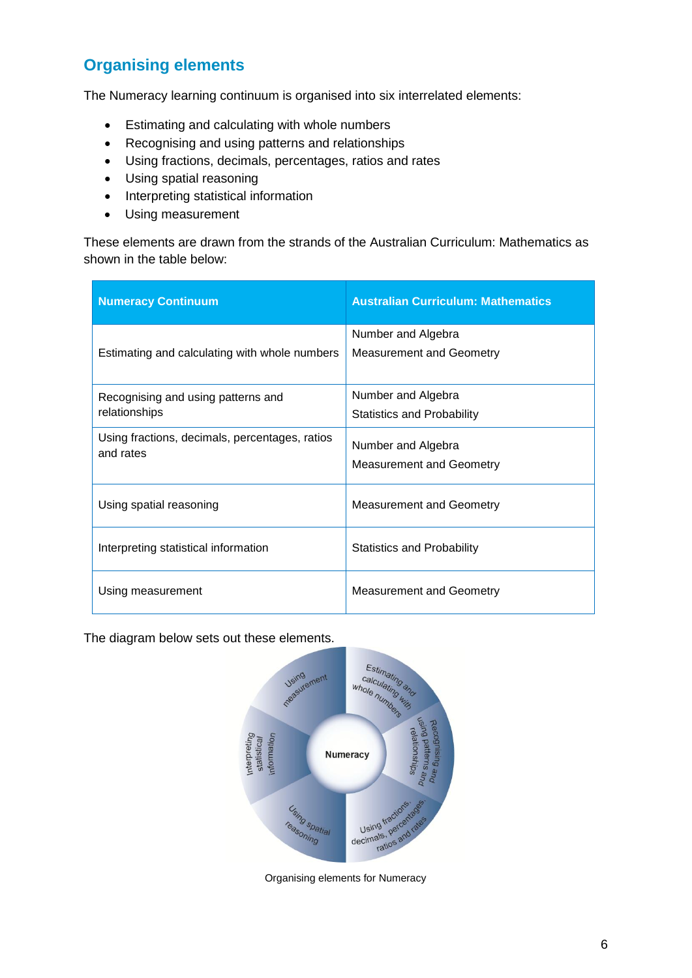## **Organising elements**

The Numeracy learning continuum is organised into six interrelated elements:

- Estimating and calculating with whole numbers
- Recognising and using patterns and relationships
- Using fractions, decimals, percentages, ratios and rates
- Using spatial reasoning
- Interpreting statistical information
- Using measurement

These elements are drawn from the strands of the Australian Curriculum: Mathematics as shown in the table below:

| <b>Numeracy Continuum</b>                                   | <b>Australian Curriculum: Mathematics</b>               |
|-------------------------------------------------------------|---------------------------------------------------------|
| Estimating and calculating with whole numbers               | Number and Algebra<br><b>Measurement and Geometry</b>   |
| Recognising and using patterns and<br>relationships         | Number and Algebra<br><b>Statistics and Probability</b> |
| Using fractions, decimals, percentages, ratios<br>and rates | Number and Algebra<br><b>Measurement and Geometry</b>   |
| Using spatial reasoning                                     | <b>Measurement and Geometry</b>                         |
| Interpreting statistical information                        | Statistics and Probability                              |
| Using measurement                                           | <b>Measurement and Geometry</b>                         |

The diagram below sets out these elements.



Organising elements for Numeracy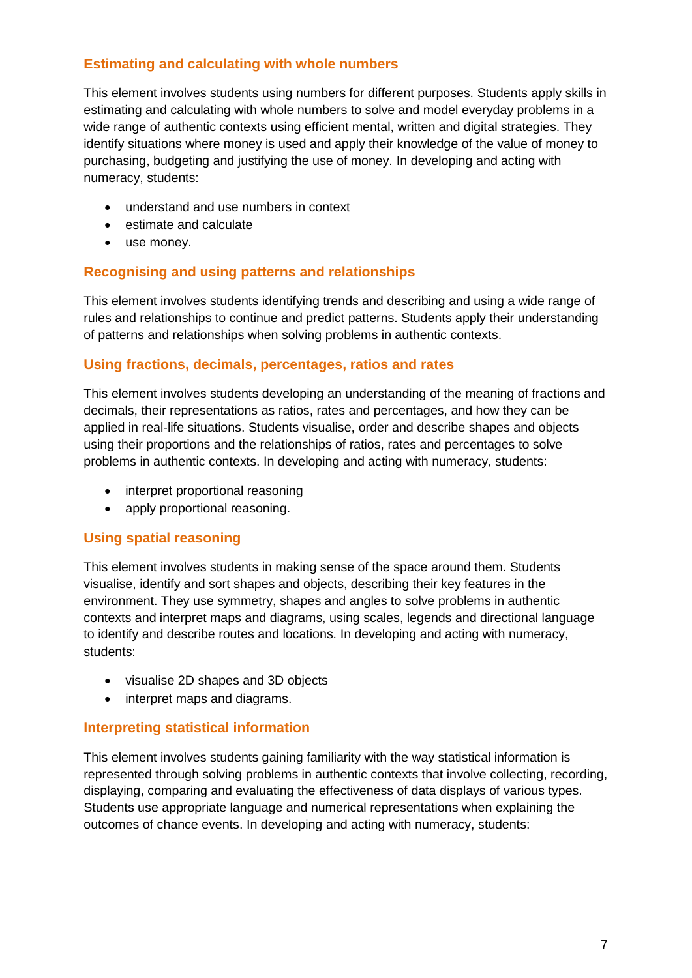### **Estimating and calculating with whole numbers**

This element involves students using numbers for different purposes. Students apply skills in estimating and calculating with whole numbers to solve and model everyday problems in a wide range of authentic contexts using efficient mental, written and digital strategies. They identify situations where money is used and apply their knowledge of the value of money to purchasing, budgeting and justifying the use of money. In developing and acting with numeracy, students:

- understand and use numbers in context
- estimate and calculate
- use money.

#### **Recognising and using patterns and relationships**

This element involves students identifying trends and describing and using a wide range of rules and relationships to continue and predict patterns. Students apply their understanding of patterns and relationships when solving problems in authentic contexts.

#### **Using fractions, decimals, percentages, ratios and rates**

This element involves students developing an understanding of the meaning of fractions and decimals, their representations as ratios, rates and percentages, and how they can be applied in real-life situations. Students visualise, order and describe shapes and objects using their proportions and the relationships of ratios, rates and percentages to solve problems in authentic contexts. In developing and acting with numeracy, students:

- interpret proportional reasoning
- apply proportional reasoning.

#### **Using spatial reasoning**

This element involves students in making sense of the space around them. Students visualise, identify and sort shapes and objects, describing their key features in the environment. They use symmetry, shapes and angles to solve problems in authentic contexts and interpret maps and diagrams, using scales, legends and directional language to identify and describe routes and locations. In developing and acting with numeracy, students:

- visualise 2D shapes and 3D objects
- interpret maps and diagrams.

#### **Interpreting statistical information**

This element involves students gaining familiarity with the way statistical information is represented through solving problems in authentic contexts that involve collecting, recording, displaying, comparing and evaluating the effectiveness of data displays of various types. Students use appropriate language and numerical representations when explaining the outcomes of chance events. In developing and acting with numeracy, students: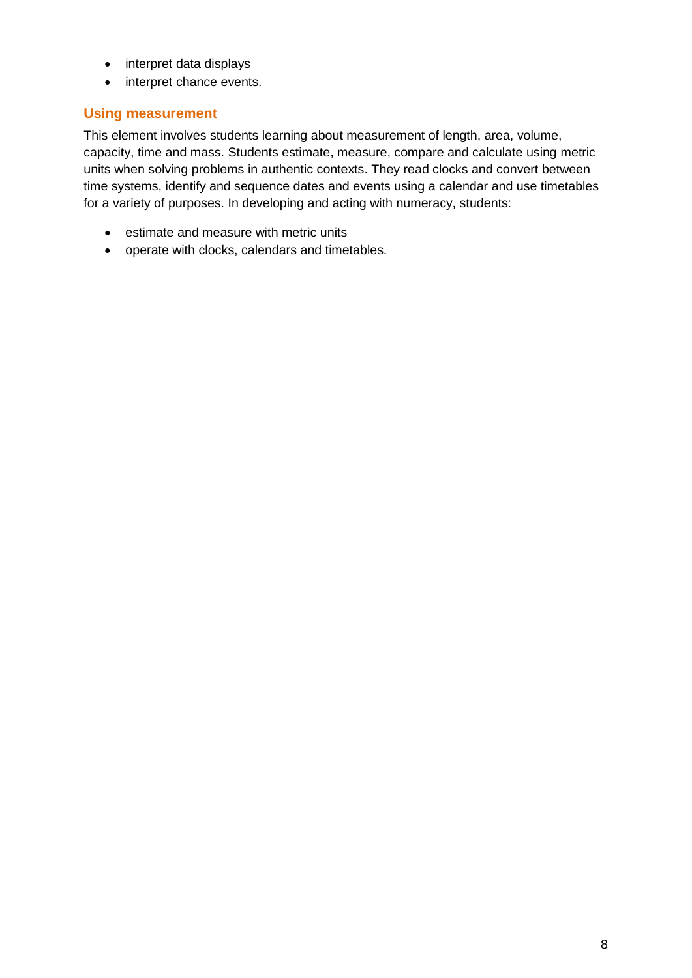- interpret data displays
- interpret chance events.

#### **Using measurement**

This element involves students learning about measurement of length, area, volume, capacity, time and mass. Students estimate, measure, compare and calculate using metric units when solving problems in authentic contexts. They read clocks and convert between time systems, identify and sequence dates and events using a calendar and use timetables for a variety of purposes. In developing and acting with numeracy, students:

- estimate and measure with metric units
- operate with clocks, calendars and timetables.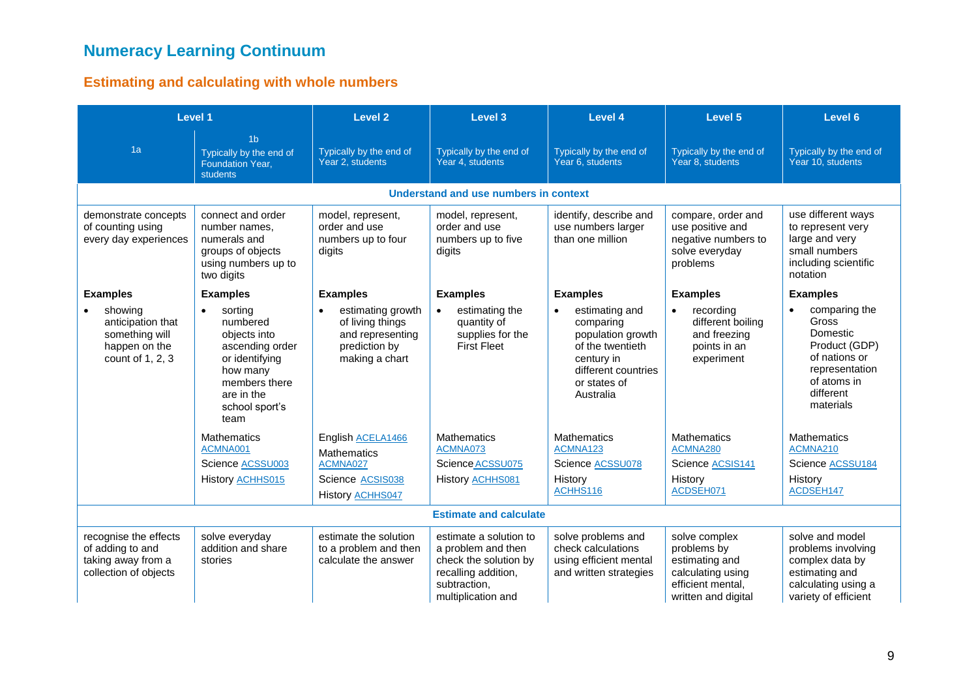# **Numeracy Learning Continuum**

## **Estimating and calculating with whole numbers**

| Level 1                                                                                  |                                                                                                                                                            | <b>Level 2</b>                                                                               | <b>Level 3</b>                                                                                                                     | Level 4                                                                                                                                | Level 5                                                                                                         | Level 6                                                                                                                         |  |  |  |
|------------------------------------------------------------------------------------------|------------------------------------------------------------------------------------------------------------------------------------------------------------|----------------------------------------------------------------------------------------------|------------------------------------------------------------------------------------------------------------------------------------|----------------------------------------------------------------------------------------------------------------------------------------|-----------------------------------------------------------------------------------------------------------------|---------------------------------------------------------------------------------------------------------------------------------|--|--|--|
| 1a                                                                                       | 1 <sub>b</sub><br>Typically by the end of<br><b>Foundation Year,</b><br><b>students</b>                                                                    | Typically by the end of<br>Year 2, students                                                  | Typically by the end of<br>Year 4, students                                                                                        | Typically by the end of<br>Year 6, students                                                                                            | Typically by the end of<br>Year 8, students                                                                     | Typically by the end of<br>Year 10, students                                                                                    |  |  |  |
|                                                                                          | Understand and use numbers in context                                                                                                                      |                                                                                              |                                                                                                                                    |                                                                                                                                        |                                                                                                                 |                                                                                                                                 |  |  |  |
| demonstrate concepts<br>of counting using<br>every day experiences                       | connect and order<br>number names,<br>numerals and<br>groups of objects<br>using numbers up to<br>two digits                                               | model, represent,<br>order and use<br>numbers up to four<br>digits                           | model, represent,<br>order and use<br>numbers up to five<br>digits                                                                 | identify, describe and<br>use numbers larger<br>than one million                                                                       | compare, order and<br>use positive and<br>negative numbers to<br>solve everyday<br>problems                     | use different ways<br>to represent very<br>large and very<br>small numbers<br>including scientific<br>notation                  |  |  |  |
| <b>Examples</b>                                                                          | <b>Examples</b>                                                                                                                                            | <b>Examples</b>                                                                              | <b>Examples</b>                                                                                                                    | <b>Examples</b>                                                                                                                        | <b>Examples</b>                                                                                                 | <b>Examples</b>                                                                                                                 |  |  |  |
| showing<br>anticipation that<br>something will<br>happen on the<br>count of 1, 2, 3      | sorting<br>$\bullet$<br>numbered<br>objects into<br>ascending order<br>or identifying<br>how many<br>members there<br>are in the<br>school sport's<br>team | estimating growth<br>of living things<br>and representing<br>prediction by<br>making a chart | estimating the<br>$\bullet$<br>quantity of<br>supplies for the<br><b>First Fleet</b>                                               | estimating and<br>comparing<br>population growth<br>of the twentieth<br>century in<br>different countries<br>or states of<br>Australia | recording<br>different boiling<br>and freezing<br>points in an<br>experiment                                    | comparing the<br>Gross<br>Domestic<br>Product (GDP)<br>of nations or<br>representation<br>of atoms in<br>different<br>materials |  |  |  |
|                                                                                          | <b>Mathematics</b><br>ACMNA001                                                                                                                             | English ACELA1466                                                                            | <b>Mathematics</b><br>ACMNA073                                                                                                     | <b>Mathematics</b><br>ACMNA123                                                                                                         | <b>Mathematics</b><br>ACMNA280                                                                                  | <b>Mathematics</b><br>ACMNA210                                                                                                  |  |  |  |
|                                                                                          | Science ACSSU003                                                                                                                                           | <b>Mathematics</b><br>ACMNA027                                                               | Science ACSSU075                                                                                                                   | Science ACSSU078                                                                                                                       | Science ACSIS141                                                                                                | Science ACSSU184                                                                                                                |  |  |  |
|                                                                                          | History <b>ACHHS015</b>                                                                                                                                    | Science ACSIS038<br>History <b>ACHHS047</b>                                                  | History <b>ACHHS081</b>                                                                                                            | History<br>ACHHS116                                                                                                                    | History<br>ACDSEH071                                                                                            | History<br>ACDSEH147                                                                                                            |  |  |  |
|                                                                                          |                                                                                                                                                            |                                                                                              | <b>Estimate and calculate</b>                                                                                                      |                                                                                                                                        |                                                                                                                 |                                                                                                                                 |  |  |  |
| recognise the effects<br>of adding to and<br>taking away from a<br>collection of objects | solve everyday<br>addition and share<br>stories                                                                                                            | estimate the solution<br>to a problem and then<br>calculate the answer                       | estimate a solution to<br>a problem and then<br>check the solution by<br>recalling addition,<br>subtraction,<br>multiplication and | solve problems and<br>check calculations<br>using efficient mental<br>and written strategies                                           | solve complex<br>problems by<br>estimating and<br>calculating using<br>efficient mental,<br>written and digital | solve and model<br>problems involving<br>complex data by<br>estimating and<br>calculating using a<br>variety of efficient       |  |  |  |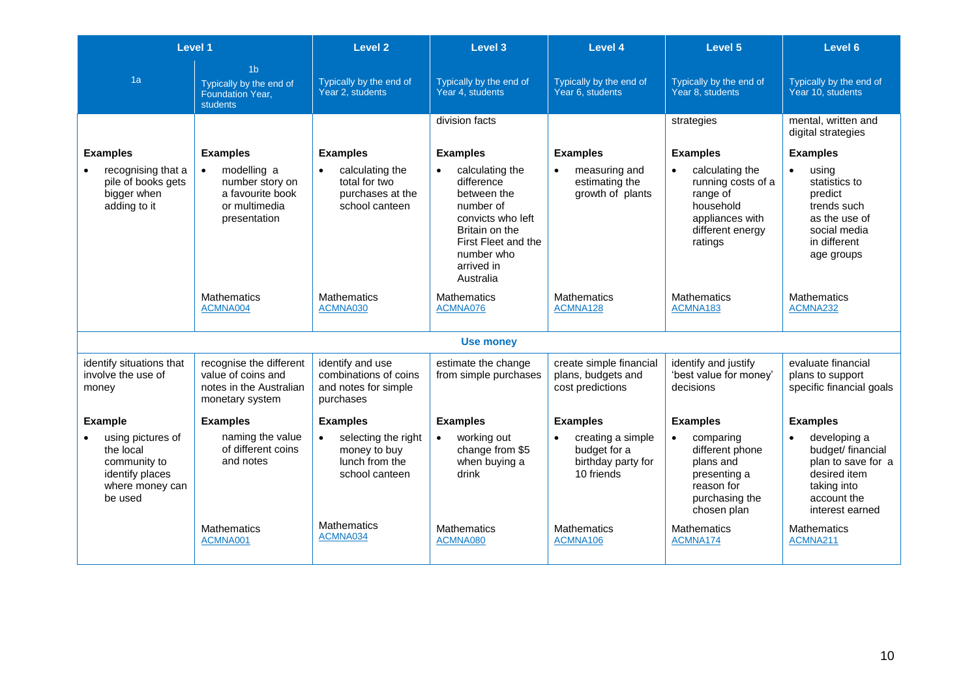|                                                                                                 | Level 1                                                                                          | <b>Level 2</b>                                                                                             | Level 3                                                                                                                                                                       | Level 4                                                                            | Level 5                                                                                                                       | Level 6                                                                                                                      |
|-------------------------------------------------------------------------------------------------|--------------------------------------------------------------------------------------------------|------------------------------------------------------------------------------------------------------------|-------------------------------------------------------------------------------------------------------------------------------------------------------------------------------|------------------------------------------------------------------------------------|-------------------------------------------------------------------------------------------------------------------------------|------------------------------------------------------------------------------------------------------------------------------|
| 1a                                                                                              | 1 <sub>b</sub><br>Typically by the end of<br><b>Foundation Year,</b><br><b>students</b>          | Typically by the end of<br>Year 2, students                                                                | Typically by the end of<br>Year 4, students                                                                                                                                   | Typically by the end of<br>Year 6, students                                        | Typically by the end of<br>Year 8. students                                                                                   | Typically by the end of<br>Year 10, students                                                                                 |
|                                                                                                 |                                                                                                  |                                                                                                            | division facts                                                                                                                                                                |                                                                                    | strategies                                                                                                                    | mental, written and<br>digital strategies                                                                                    |
| <b>Examples</b>                                                                                 | <b>Examples</b>                                                                                  | <b>Examples</b>                                                                                            | <b>Examples</b>                                                                                                                                                               | <b>Examples</b>                                                                    | <b>Examples</b>                                                                                                               | <b>Examples</b>                                                                                                              |
| recognising that a<br>pile of books gets<br>bigger when<br>adding to it                         | modelling a<br>$\bullet$<br>number story on<br>a favourite book<br>or multimedia<br>presentation | calculating the<br>$\bullet$<br>total for two<br>purchases at the<br>school canteen                        | calculating the<br>$\bullet$<br>difference<br>between the<br>number of<br>convicts who left<br>Britain on the<br>First Fleet and the<br>number who<br>arrived in<br>Australia | measuring and<br>$\bullet$<br>estimating the<br>growth of plants                   | calculating the<br>$\bullet$<br>running costs of a<br>range of<br>household<br>appliances with<br>different energy<br>ratings | using<br>$\bullet$<br>statistics to<br>predict<br>trends such<br>as the use of<br>social media<br>in different<br>age groups |
|                                                                                                 | <b>Mathematics</b><br>ACMNA004                                                                   | <b>Mathematics</b><br>ACMNA030                                                                             | <b>Mathematics</b><br>ACMNA076                                                                                                                                                | <b>Mathematics</b><br>ACMNA128                                                     | <b>Mathematics</b><br>ACMNA183                                                                                                | <b>Mathematics</b><br>ACMNA232                                                                                               |
|                                                                                                 |                                                                                                  |                                                                                                            | <b>Use money</b>                                                                                                                                                              |                                                                                    |                                                                                                                               |                                                                                                                              |
| identify situations that<br>involve the use of<br>money                                         | recognise the different<br>value of coins and<br>notes in the Australian<br>monetary system      | identify and use<br>combinations of coins<br>and notes for simple<br>purchases                             | estimate the change<br>from simple purchases                                                                                                                                  | create simple financial<br>plans, budgets and<br>cost predictions                  | identify and justify<br>'best value for money'<br>decisions                                                                   | evaluate financial<br>plans to support<br>specific financial goals                                                           |
| <b>Example</b>                                                                                  | <b>Examples</b>                                                                                  | <b>Examples</b>                                                                                            | <b>Examples</b>                                                                                                                                                               | <b>Examples</b>                                                                    | <b>Examples</b>                                                                                                               | <b>Examples</b>                                                                                                              |
| using pictures of<br>the local<br>community to<br>identify places<br>where money can<br>be used | naming the value<br>of different coins<br>and notes                                              | selecting the right<br>$\bullet$<br>money to buy<br>lunch from the<br>school canteen<br><b>Mathematics</b> | working out<br>$\bullet$<br>change from \$5<br>when buying a<br>drink                                                                                                         | creating a simple<br>$\bullet$<br>budget for a<br>birthday party for<br>10 friends | comparing<br>$\bullet$<br>different phone<br>plans and<br>presenting a<br>reason for<br>purchasing the<br>chosen plan         | developing a<br>budget/ financial<br>plan to save for a<br>desired item<br>taking into<br>account the<br>interest earned     |
|                                                                                                 | <b>Mathematics</b><br>ACMNA001                                                                   | ACMNA034                                                                                                   | <b>Mathematics</b><br>ACMNA080                                                                                                                                                | <b>Mathematics</b><br>ACMNA106                                                     | <b>Mathematics</b><br>ACMNA174                                                                                                | <b>Mathematics</b><br>ACMNA211                                                                                               |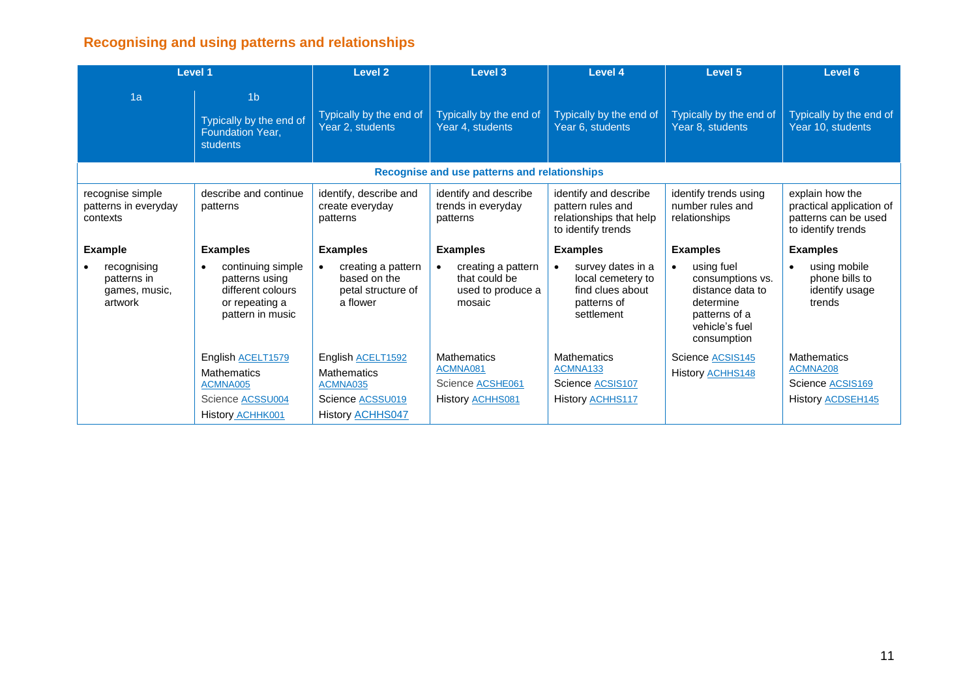# **Recognising and using patterns and relationships**

| Level 1                                                |                                                                                                             | <b>Level 2</b>                                                                                     | Level 3                                                                              | Level 4                                                                                     | Level 5                                                                                                                        | Level 6                                                                                   |
|--------------------------------------------------------|-------------------------------------------------------------------------------------------------------------|----------------------------------------------------------------------------------------------------|--------------------------------------------------------------------------------------|---------------------------------------------------------------------------------------------|--------------------------------------------------------------------------------------------------------------------------------|-------------------------------------------------------------------------------------------|
| 1a                                                     | 1 <sub>b</sub><br>Typically by the end of<br>Foundation Year,<br><b>students</b>                            | Typically by the end of<br>Year 2, students                                                        | Typically by the end of<br>Year 4, students                                          | Typically by the end of<br>Year 6, students                                                 | Typically by the end of<br>Year 8, students                                                                                    | Typically by the end of<br>Year 10, students                                              |
|                                                        |                                                                                                             |                                                                                                    | Recognise and use patterns and relationships                                         |                                                                                             |                                                                                                                                |                                                                                           |
| recognise simple<br>patterns in everyday<br>contexts   | describe and continue<br>patterns                                                                           | identify, describe and<br>create everyday<br>patterns                                              | identify and describe<br>trends in everyday<br>patterns                              | identify and describe<br>pattern rules and<br>relationships that help<br>to identify trends | identify trends using<br>number rules and<br>relationships                                                                     | explain how the<br>practical application of<br>patterns can be used<br>to identify trends |
| <b>Example</b>                                         | <b>Examples</b>                                                                                             | <b>Examples</b>                                                                                    | <b>Examples</b>                                                                      | <b>Examples</b>                                                                             | <b>Examples</b>                                                                                                                | <b>Examples</b>                                                                           |
| recognising<br>patterns in<br>games, music,<br>artwork | continuing simple<br>$\bullet$<br>patterns using<br>different colours<br>or repeating a<br>pattern in music | creating a pattern<br>$\bullet$<br>based on the<br>petal structure of<br>a flower                  | creating a pattern<br>that could be<br>used to produce a<br>mosaic                   | survey dates in a<br>local cemetery to<br>find clues about<br>patterns of<br>settlement     | using fuel<br>$\bullet$<br>consumptions vs.<br>distance data to<br>determine<br>patterns of a<br>vehicle's fuel<br>consumption | using mobile<br>phone bills to<br>identify usage<br>trends                                |
|                                                        | English ACELT1579<br><b>Mathematics</b><br>ACMNA005<br>Science ACSSU004<br>History <b>ACHHK001</b>          | English ACELT1592<br><b>Mathematics</b><br>ACMNA035<br>Science ACSSU019<br><b>History ACHHS047</b> | <b>Mathematics</b><br>ACMNA081<br>Science <b>ACSHE061</b><br>History <b>ACHHS081</b> | <b>Mathematics</b><br>ACMNA133<br>Science ACSIS107<br>History <b>ACHHS117</b>               | Science ACSIS145<br>History <b>ACHHS148</b>                                                                                    | <b>Mathematics</b><br>ACMNA208<br>Science ACSIS169<br>History <b>ACDSEH145</b>            |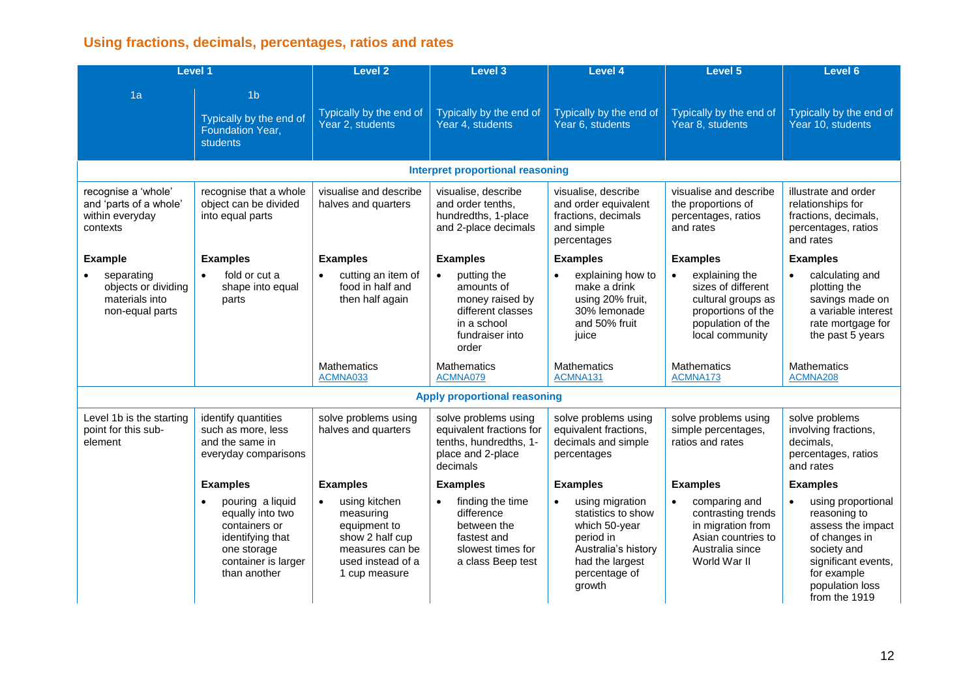# **Using fractions, decimals, percentages, ratios and rates**

|                                                                              | <b>Level 1</b>                                                                                                                  | <b>Level 2</b>                                                                                                                      | <b>Level 3</b>                                                                                                            | <b>Level 4</b>                                                                                                                           | Level 5                                                                                                                               | Level <sub>6</sub>                                                                                                                                                |
|------------------------------------------------------------------------------|---------------------------------------------------------------------------------------------------------------------------------|-------------------------------------------------------------------------------------------------------------------------------------|---------------------------------------------------------------------------------------------------------------------------|------------------------------------------------------------------------------------------------------------------------------------------|---------------------------------------------------------------------------------------------------------------------------------------|-------------------------------------------------------------------------------------------------------------------------------------------------------------------|
| 1a                                                                           | 1 <sub>b</sub><br>Typically by the end of<br>Foundation Year,<br><b>students</b>                                                | Typically by the end of<br>Year 2, students                                                                                         | Typically by the end of<br>Year 4, students                                                                               | Typically by the end of<br>Year 6, students                                                                                              | Typically by the end of<br>Year 8, students                                                                                           | Typically by the end of<br>Year 10, students                                                                                                                      |
|                                                                              |                                                                                                                                 |                                                                                                                                     | <b>Interpret proportional reasoning</b>                                                                                   |                                                                                                                                          |                                                                                                                                       |                                                                                                                                                                   |
| recognise a 'whole'<br>and 'parts of a whole'<br>within everyday<br>contexts | recognise that a whole<br>object can be divided<br>into equal parts                                                             | visualise and describe<br>halves and quarters                                                                                       | visualise, describe<br>and order tenths,<br>hundredths, 1-place<br>and 2-place decimals                                   | visualise, describe<br>and order equivalent<br>fractions, decimals<br>and simple<br>percentages                                          | visualise and describe<br>the proportions of<br>percentages, ratios<br>and rates                                                      | illustrate and order<br>relationships for<br>fractions, decimals,<br>percentages, ratios<br>and rates                                                             |
| <b>Example</b>                                                               | <b>Examples</b>                                                                                                                 | <b>Examples</b>                                                                                                                     | <b>Examples</b>                                                                                                           | <b>Examples</b>                                                                                                                          | <b>Examples</b>                                                                                                                       | <b>Examples</b>                                                                                                                                                   |
| separating<br>objects or dividing<br>materials into<br>non-equal parts       | fold or cut a<br>shape into equal<br>parts                                                                                      | cutting an item of<br>$\bullet$<br>food in half and<br>then half again                                                              | putting the<br>$\bullet$<br>amounts of<br>money raised by<br>different classes<br>in a school<br>fundraiser into<br>order | explaining how to<br>$\bullet$<br>make a drink<br>using 20% fruit,<br>30% lemonade<br>and 50% fruit<br>juice                             | explaining the<br>$\bullet$<br>sizes of different<br>cultural groups as<br>proportions of the<br>population of the<br>local community | calculating and<br>plotting the<br>savings made on<br>a variable interest<br>rate mortgage for<br>the past 5 years                                                |
|                                                                              |                                                                                                                                 | <b>Mathematics</b><br>ACMNA033                                                                                                      | <b>Mathematics</b><br>ACMNA079                                                                                            | <b>Mathematics</b><br>ACMNA131                                                                                                           | <b>Mathematics</b><br>ACMNA173                                                                                                        | <b>Mathematics</b><br>ACMNA208                                                                                                                                    |
|                                                                              |                                                                                                                                 |                                                                                                                                     | <b>Apply proportional reasoning</b>                                                                                       |                                                                                                                                          |                                                                                                                                       |                                                                                                                                                                   |
| Level 1b is the starting<br>point for this sub-<br>element                   | identify quantities<br>such as more, less<br>and the same in<br>everyday comparisons                                            | solve problems using<br>halves and quarters                                                                                         | solve problems using<br>equivalent fractions for<br>tenths, hundredths, 1-<br>place and 2-place<br>decimals               | solve problems using<br>equivalent fractions,<br>decimals and simple<br>percentages                                                      | solve problems using<br>simple percentages,<br>ratios and rates                                                                       | solve problems<br>involving fractions,<br>decimals,<br>percentages, ratios<br>and rates                                                                           |
|                                                                              | <b>Examples</b>                                                                                                                 | <b>Examples</b>                                                                                                                     | <b>Examples</b>                                                                                                           | <b>Examples</b>                                                                                                                          | <b>Examples</b>                                                                                                                       | <b>Examples</b>                                                                                                                                                   |
|                                                                              | pouring a liquid<br>equally into two<br>containers or<br>identifying that<br>one storage<br>container is larger<br>than another | using kitchen<br>$\bullet$<br>measuring<br>equipment to<br>show 2 half cup<br>measures can be<br>used instead of a<br>1 cup measure | finding the time<br>difference<br>between the<br>fastest and<br>slowest times for<br>a class Beep test                    | using migration<br>statistics to show<br>which 50-year<br>period in<br>Australia's history<br>had the largest<br>percentage of<br>growth | comparing and<br>$\bullet$<br>contrasting trends<br>in migration from<br>Asian countries to<br>Australia since<br>World War II        | using proportional<br>reasoning to<br>assess the impact<br>of changes in<br>society and<br>significant events,<br>for example<br>population loss<br>from the 1919 |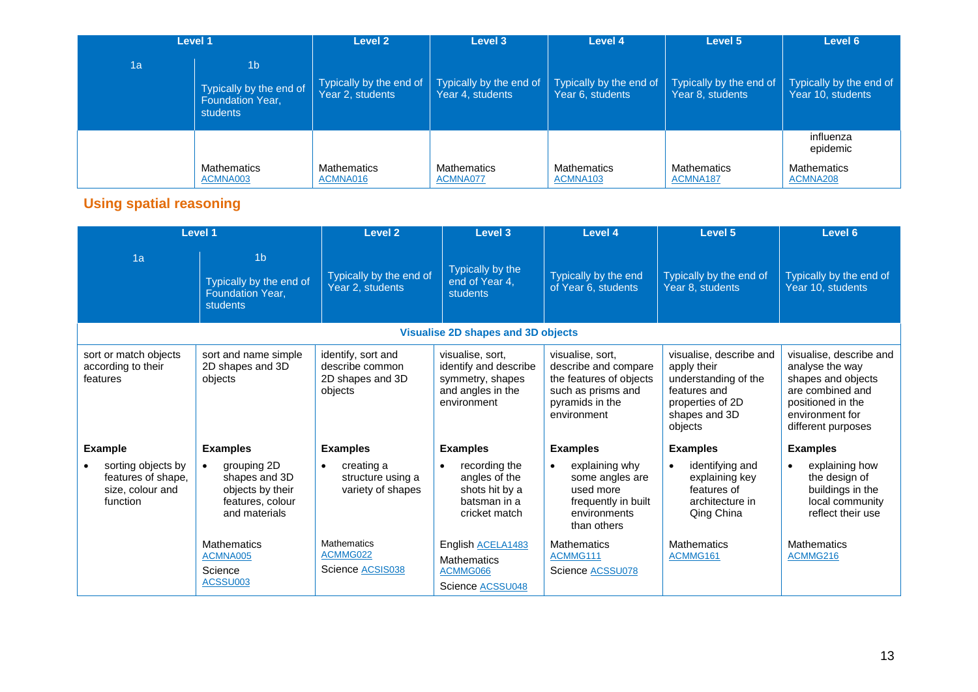| Level 1 |                                                                                  | Level 2                                     | Level 3                                     | Level 4                                     | Level 5                                     | Level 6                                      |
|---------|----------------------------------------------------------------------------------|---------------------------------------------|---------------------------------------------|---------------------------------------------|---------------------------------------------|----------------------------------------------|
| 1a      | 1 <sub>b</sub><br>Typically by the end of<br><b>Foundation Year,</b><br>students | Typically by the end of<br>Year 2, students | Typically by the end of<br>Year 4, students | Typically by the end of<br>Year 6, students | Typically by the end of<br>Year 8, students | Typically by the end of<br>Year 10, students |
|         |                                                                                  |                                             |                                             |                                             |                                             | influenza<br>epidemic                        |
|         | Mathematics<br>ACMNA003                                                          | <b>Mathematics</b><br>ACMNA016              | <b>Mathematics</b><br>ACMNA077              | Mathematics<br>ACMNA103                     | <b>Mathematics</b><br>ACMNA187              | <b>Mathematics</b><br>ACMNA208               |

# **Using spatial reasoning**

|                                                                          | <b>Level 1</b>                                                                        | <b>Level 2</b>                                                       | <b>Level 3</b>                                                                                    | Level 4                                                                                                                     | Level 5                                                                                                                        | Level 6                                                                                                                                            |  |  |
|--------------------------------------------------------------------------|---------------------------------------------------------------------------------------|----------------------------------------------------------------------|---------------------------------------------------------------------------------------------------|-----------------------------------------------------------------------------------------------------------------------------|--------------------------------------------------------------------------------------------------------------------------------|----------------------------------------------------------------------------------------------------------------------------------------------------|--|--|
| 1a                                                                       | 1 <sub>b</sub><br>Typically by the end of<br>Foundation Year,<br>students             | Typically by the end of<br>Year 2, students                          | Typically by the<br>end of Year 4,<br>students                                                    | Typically by the end<br>of Year 6, students                                                                                 | Typically by the end of<br>Year 8, students                                                                                    | Typically by the end of<br>Year 10, students                                                                                                       |  |  |
|                                                                          | <b>Visualise 2D shapes and 3D objects</b>                                             |                                                                      |                                                                                                   |                                                                                                                             |                                                                                                                                |                                                                                                                                                    |  |  |
| sort or match objects<br>according to their<br>features                  | sort and name simple<br>2D shapes and 3D<br>objects                                   | identify, sort and<br>describe common<br>2D shapes and 3D<br>objects | visualise, sort,<br>identify and describe<br>symmetry, shapes<br>and angles in the<br>environment | visualise, sort,<br>describe and compare<br>the features of objects<br>such as prisms and<br>pyramids in the<br>environment | visualise, describe and<br>apply their<br>understanding of the<br>features and<br>properties of 2D<br>shapes and 3D<br>objects | visualise, describe and<br>analyse the way<br>shapes and objects<br>are combined and<br>positioned in the<br>environment for<br>different purposes |  |  |
| <b>Example</b>                                                           | <b>Examples</b>                                                                       | <b>Examples</b>                                                      | <b>Examples</b>                                                                                   | <b>Examples</b>                                                                                                             | <b>Examples</b>                                                                                                                | <b>Examples</b>                                                                                                                                    |  |  |
| sorting objects by<br>features of shape,<br>size, colour and<br>function | grouping 2D<br>shapes and 3D<br>objects by their<br>features, colour<br>and materials | creating a<br>$\bullet$<br>structure using a<br>variety of shapes    | recording the<br>$\bullet$<br>angles of the<br>shots hit by a<br>batsman in a<br>cricket match    | explaining why<br>some angles are<br>used more<br>frequently in built<br>environments<br>than others                        | identifying and<br>explaining key<br>features of<br>architecture in<br>Qing China                                              | explaining how<br>the design of<br>buildings in the<br>local community<br>reflect their use                                                        |  |  |
|                                                                          | <b>Mathematics</b><br>ACMNA005<br>Science<br>ACSSU003                                 | <b>Mathematics</b><br>ACMMG022<br>Science ACSIS038                   | English ACELA1483<br><b>Mathematics</b><br>ACMMG066<br>Science ACSSU048                           | <b>Mathematics</b><br>ACMMG111<br>Science ACSSU078                                                                          | <b>Mathematics</b><br>ACMMG161                                                                                                 | <b>Mathematics</b><br>ACMMG216                                                                                                                     |  |  |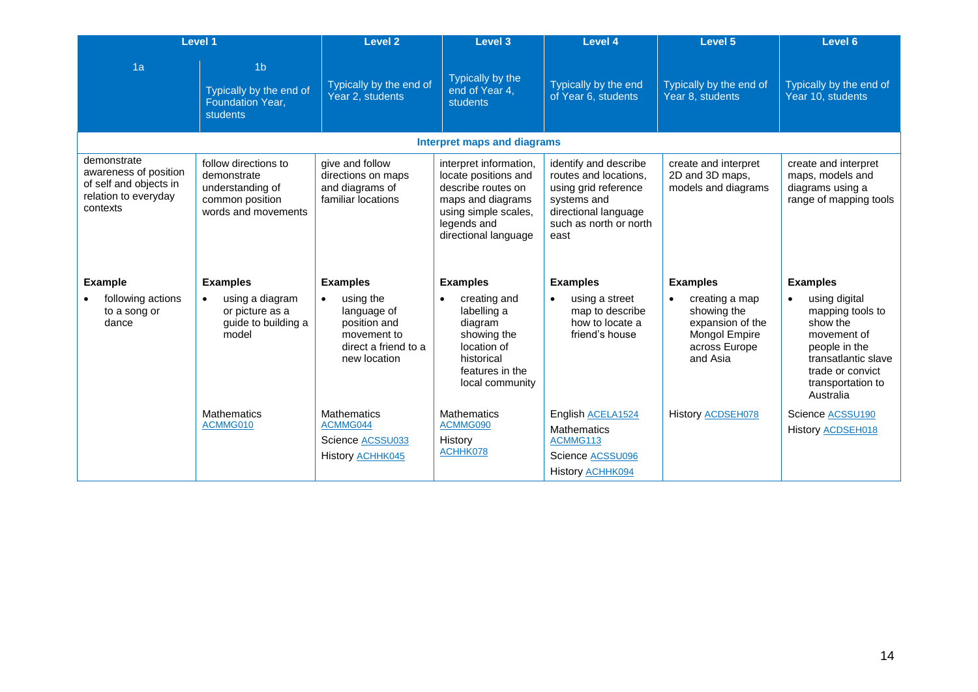|                                                                                                    | Level 1                                                                                           | <b>Level 2</b>                                                                                               | Level 3                                                                                                                                                  | Level 4                                                                                                                                         | Level 5                                                                                                      | Level 6                                                                                                                                                    |
|----------------------------------------------------------------------------------------------------|---------------------------------------------------------------------------------------------------|--------------------------------------------------------------------------------------------------------------|----------------------------------------------------------------------------------------------------------------------------------------------------------|-------------------------------------------------------------------------------------------------------------------------------------------------|--------------------------------------------------------------------------------------------------------------|------------------------------------------------------------------------------------------------------------------------------------------------------------|
| 1a                                                                                                 | 1 <sub>b</sub><br>Typically by the end of<br>Foundation Year,<br>students                         | Typically by the end of<br>Year 2, students                                                                  | Typically by the<br>end of Year 4.<br>students                                                                                                           | Typically by the end<br>of Year 6, students                                                                                                     | Typically by the end of<br>Year 8, students                                                                  | Typically by the end of<br>Year 10, students                                                                                                               |
|                                                                                                    |                                                                                                   |                                                                                                              | <b>Interpret maps and diagrams</b>                                                                                                                       |                                                                                                                                                 |                                                                                                              |                                                                                                                                                            |
| demonstrate<br>awareness of position<br>of self and objects in<br>relation to everyday<br>contexts | follow directions to<br>demonstrate<br>understanding of<br>common position<br>words and movements | give and follow<br>directions on maps<br>and diagrams of<br>familiar locations                               | interpret information,<br>locate positions and<br>describe routes on<br>maps and diagrams<br>using simple scales,<br>legends and<br>directional language | identify and describe<br>routes and locations,<br>using grid reference<br>systems and<br>directional language<br>such as north or north<br>east | create and interpret<br>2D and 3D maps,<br>models and diagrams                                               | create and interpret<br>maps, models and<br>diagrams using a<br>range of mapping tools                                                                     |
| <b>Example</b>                                                                                     | <b>Examples</b>                                                                                   | <b>Examples</b>                                                                                              | <b>Examples</b>                                                                                                                                          | <b>Examples</b>                                                                                                                                 | <b>Examples</b>                                                                                              | <b>Examples</b>                                                                                                                                            |
| following actions<br>to a song or<br>dance                                                         | using a diagram<br>$\bullet$<br>or picture as a<br>guide to building a<br>model                   | using the<br>$\bullet$<br>language of<br>position and<br>movement to<br>direct a friend to a<br>new location | creating and<br>labelling a<br>diagram<br>showing the<br>location of<br>historical<br>features in the<br>local community                                 | using a street<br>map to describe<br>how to locate a<br>friend's house                                                                          | creating a map<br>$\bullet$<br>showing the<br>expansion of the<br>Mongol Empire<br>across Europe<br>and Asia | using digital<br>mapping tools to<br>show the<br>movement of<br>people in the<br>transatlantic slave<br>trade or convict<br>transportation to<br>Australia |
|                                                                                                    | <b>Mathematics</b><br>ACMMG010                                                                    | <b>Mathematics</b><br>ACMMG044<br>Science ACSSU033<br>History <b>ACHHK045</b>                                | <b>Mathematics</b><br>ACMMG090<br>History<br>ACHHK078                                                                                                    | English ACELA1524<br><b>Mathematics</b><br>ACMMG113<br>Science ACSSU096<br>History <b>ACHHK094</b>                                              | History <b>ACDSEH078</b>                                                                                     | Science ACSSU190<br>History <b>ACDSEH018</b>                                                                                                               |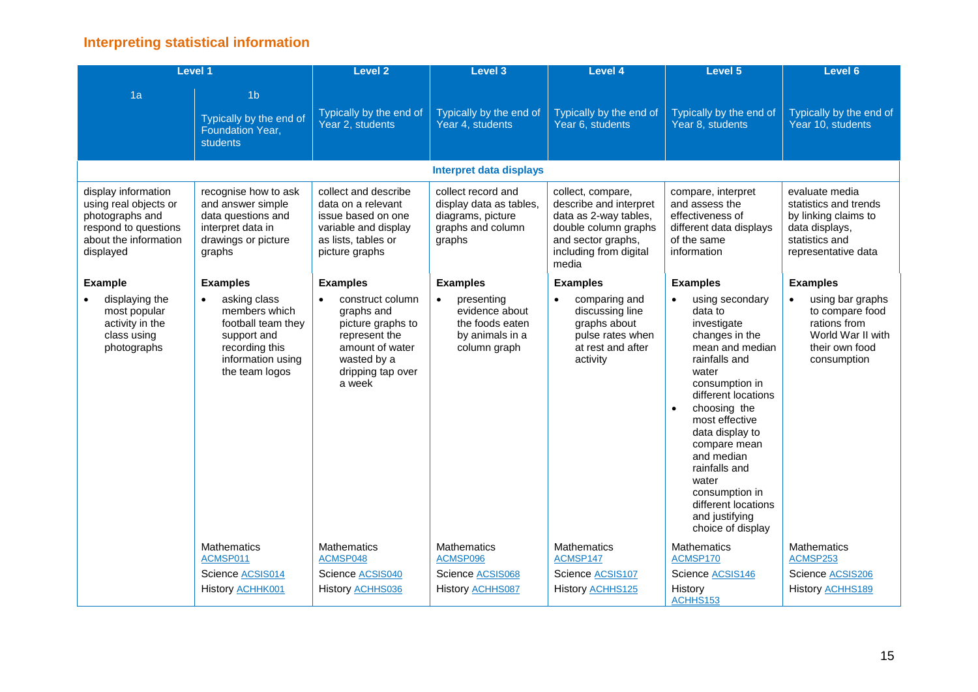## **Interpreting statistical information**

|                                                                                                                               | <b>Level 1</b>                                                                                                                           | <b>Level 2</b>                                                                                                                                     | Level 3                                                                                           | <b>Level 4</b>                                                                                                                                        | Level 5                                                                                                                                                                                                                                                                                                                                                     | Level 6                                                                                                                    |
|-------------------------------------------------------------------------------------------------------------------------------|------------------------------------------------------------------------------------------------------------------------------------------|----------------------------------------------------------------------------------------------------------------------------------------------------|---------------------------------------------------------------------------------------------------|-------------------------------------------------------------------------------------------------------------------------------------------------------|-------------------------------------------------------------------------------------------------------------------------------------------------------------------------------------------------------------------------------------------------------------------------------------------------------------------------------------------------------------|----------------------------------------------------------------------------------------------------------------------------|
| 1a                                                                                                                            | 1 <sub>b</sub><br>Typically by the end of<br>Foundation Year,<br>students                                                                | Typically by the end of<br>Year 2, students                                                                                                        | Typically by the end of<br>Year 4, students                                                       | Typically by the end of<br>Year 6, students                                                                                                           | Typically by the end of<br>Year 8, students                                                                                                                                                                                                                                                                                                                 | Typically by the end of<br>Year 10, students                                                                               |
|                                                                                                                               |                                                                                                                                          |                                                                                                                                                    | <b>Interpret data displays</b>                                                                    |                                                                                                                                                       |                                                                                                                                                                                                                                                                                                                                                             |                                                                                                                            |
| display information<br>using real objects or<br>photographs and<br>respond to questions<br>about the information<br>displayed | recognise how to ask<br>and answer simple<br>data questions and<br>interpret data in<br>drawings or picture<br>graphs                    | collect and describe<br>data on a relevant<br>issue based on one<br>variable and display<br>as lists, tables or<br>picture graphs                  | collect record and<br>display data as tables,<br>diagrams, picture<br>graphs and column<br>graphs | collect, compare,<br>describe and interpret<br>data as 2-way tables,<br>double column graphs<br>and sector graphs,<br>including from digital<br>media | compare, interpret<br>and assess the<br>effectiveness of<br>different data displays<br>of the same<br>information                                                                                                                                                                                                                                           | evaluate media<br>statistics and trends<br>by linking claims to<br>data displays,<br>statistics and<br>representative data |
| <b>Example</b>                                                                                                                | <b>Examples</b>                                                                                                                          | <b>Examples</b>                                                                                                                                    | <b>Examples</b>                                                                                   | <b>Examples</b>                                                                                                                                       | <b>Examples</b>                                                                                                                                                                                                                                                                                                                                             | <b>Examples</b>                                                                                                            |
| displaying the<br>most popular<br>activity in the<br>class using<br>photographs                                               | asking class<br>$\bullet$<br>members which<br>football team they<br>support and<br>recording this<br>information using<br>the team logos | construct column<br>$\bullet$<br>graphs and<br>picture graphs to<br>represent the<br>amount of water<br>wasted by a<br>dripping tap over<br>a week | presenting<br>$\bullet$<br>evidence about<br>the foods eaten<br>by animals in a<br>column graph   | comparing and<br>$\bullet$<br>discussing line<br>graphs about<br>pulse rates when<br>at rest and after<br>activity                                    | using secondary<br>data to<br>investigate<br>changes in the<br>mean and median<br>rainfalls and<br>water<br>consumption in<br>different locations<br>choosing the<br>$\bullet$<br>most effective<br>data display to<br>compare mean<br>and median<br>rainfalls and<br>water<br>consumption in<br>different locations<br>and justifying<br>choice of display | using bar graphs<br>$\bullet$<br>to compare food<br>rations from<br>World War II with<br>their own food<br>consumption     |
|                                                                                                                               | Mathematics<br>ACMSP011                                                                                                                  | <b>Mathematics</b><br>ACMSP048                                                                                                                     | Mathematics<br>ACMSP096                                                                           | Mathematics<br>ACMSP147                                                                                                                               | <b>Mathematics</b><br>ACMSP170                                                                                                                                                                                                                                                                                                                              | <b>Mathematics</b><br>ACMSP253                                                                                             |
|                                                                                                                               | Science ACSIS014                                                                                                                         | Science ACSIS040                                                                                                                                   | Science ACSIS068                                                                                  | Science ACSIS107                                                                                                                                      | Science ACSIS146                                                                                                                                                                                                                                                                                                                                            | Science ACSIS206                                                                                                           |
|                                                                                                                               | History <b>ACHHK001</b>                                                                                                                  | History <b>ACHHS036</b>                                                                                                                            | History <b>ACHHS087</b>                                                                           | History <b>ACHHS125</b>                                                                                                                               | History<br>ACHHS153                                                                                                                                                                                                                                                                                                                                         | History <b>ACHHS189</b>                                                                                                    |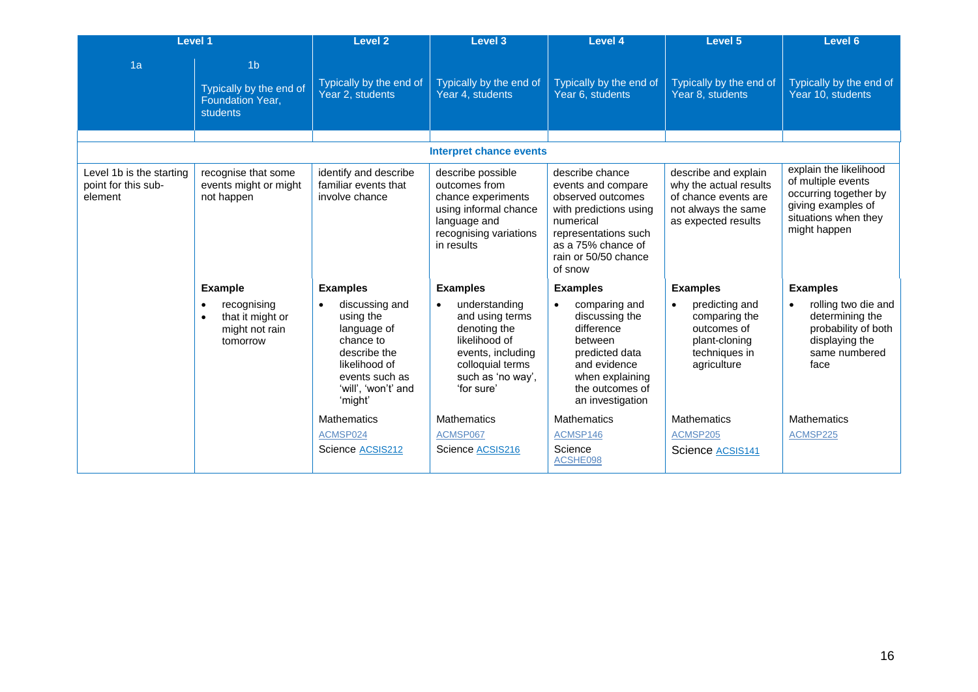| <b>Level 1</b>                                             |                                                                                         | Level <sub>2</sub>                                                                                                                           | Level 3                                                                                                                                       | <b>Level 4</b>                                                                                                                                                                     | Level 5                                                                                                              | Level 6                                                                                                                             |
|------------------------------------------------------------|-----------------------------------------------------------------------------------------|----------------------------------------------------------------------------------------------------------------------------------------------|-----------------------------------------------------------------------------------------------------------------------------------------------|------------------------------------------------------------------------------------------------------------------------------------------------------------------------------------|----------------------------------------------------------------------------------------------------------------------|-------------------------------------------------------------------------------------------------------------------------------------|
| 1a                                                         | 1 <sub>b</sub><br>Typically by the end of<br>Foundation Year,<br>students               | Typically by the end of<br>Year 2, students                                                                                                  | Typically by the end of<br>Year 4, students                                                                                                   | Typically by the end of<br>Year 6, students                                                                                                                                        | Typically by the end of<br>Year 8, students                                                                          | Typically by the end of<br>Year 10, students                                                                                        |
|                                                            |                                                                                         |                                                                                                                                              |                                                                                                                                               |                                                                                                                                                                                    |                                                                                                                      |                                                                                                                                     |
|                                                            |                                                                                         |                                                                                                                                              | <b>Interpret chance events</b>                                                                                                                |                                                                                                                                                                                    |                                                                                                                      |                                                                                                                                     |
| Level 1b is the starting<br>point for this sub-<br>element | recognise that some<br>events might or might<br>not happen                              | identify and describe<br>familiar events that<br>involve chance                                                                              | describe possible<br>outcomes from<br>chance experiments<br>using informal chance<br>language and<br>recognising variations<br>in results     | describe chance<br>events and compare<br>observed outcomes<br>with predictions using<br>numerical<br>representations such<br>as a 75% chance of<br>rain or 50/50 chance<br>of snow | describe and explain<br>why the actual results<br>of chance events are<br>not always the same<br>as expected results | explain the likelihood<br>of multiple events<br>occurring together by<br>giving examples of<br>situations when they<br>might happen |
|                                                            | <b>Example</b>                                                                          | <b>Examples</b>                                                                                                                              | <b>Examples</b>                                                                                                                               | <b>Examples</b>                                                                                                                                                                    | <b>Examples</b>                                                                                                      | <b>Examples</b>                                                                                                                     |
|                                                            | recognising<br>$\bullet$<br>that it might or<br>$\bullet$<br>might not rain<br>tomorrow | discussing and<br>using the<br>language of<br>chance to<br>describe the<br>likelihood of<br>events such as<br>'will', 'won't' and<br>'might' | understanding<br>and using terms<br>denoting the<br>likelihood of<br>events, including<br>colloquial terms<br>such as 'no way',<br>'for sure' | comparing and<br>discussing the<br>difference<br>between<br>predicted data<br>and evidence<br>when explaining<br>the outcomes of<br>an investigation                               | predicting and<br>comparing the<br>outcomes of<br>plant-cloning<br>techniques in<br>agriculture                      | rolling two die and<br>determining the<br>probability of both<br>displaying the<br>same numbered<br>face                            |
|                                                            |                                                                                         | <b>Mathematics</b><br>ACMSP024<br>Science ACSIS212                                                                                           | <b>Mathematics</b><br>ACMSP067<br>Science ACSIS216                                                                                            | <b>Mathematics</b><br>ACMSP146<br>Science<br>ACSHE098                                                                                                                              | <b>Mathematics</b><br>ACMSP205<br>Science ACSIS141                                                                   | <b>Mathematics</b><br>ACMSP225                                                                                                      |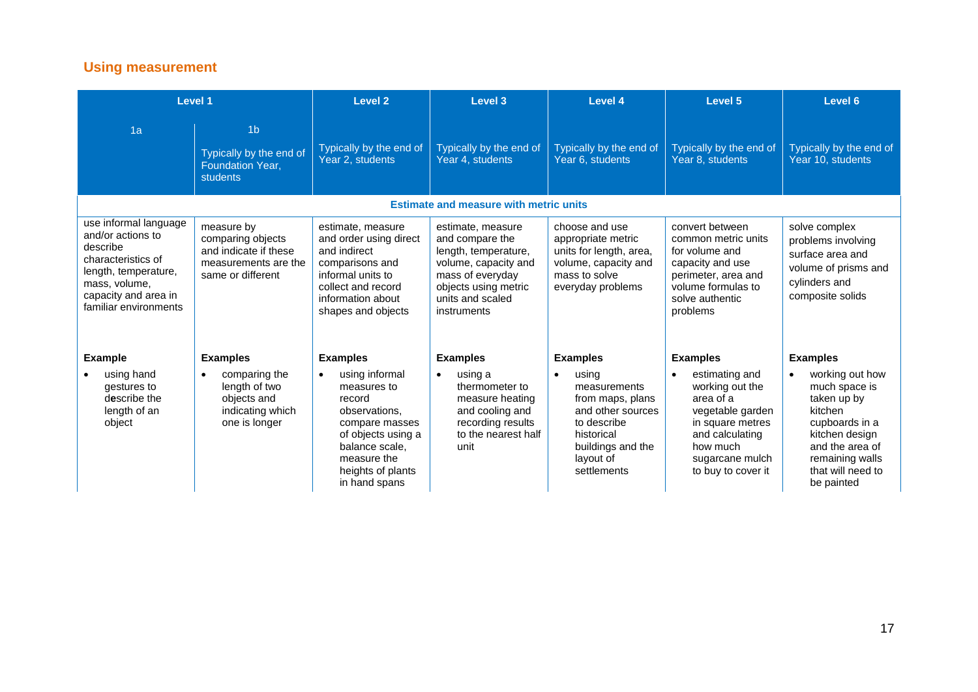# **Using measurement**

| Level 1                                                                                                                                                                |                                                                                                       | Level 2                                                                                                                                                                 | Level 3                                                                                                                                                             | Level 4                                                                                                                                                   | Level 5                                                                                                                                                                     | Level 6                                                                                                                                                                 |
|------------------------------------------------------------------------------------------------------------------------------------------------------------------------|-------------------------------------------------------------------------------------------------------|-------------------------------------------------------------------------------------------------------------------------------------------------------------------------|---------------------------------------------------------------------------------------------------------------------------------------------------------------------|-----------------------------------------------------------------------------------------------------------------------------------------------------------|-----------------------------------------------------------------------------------------------------------------------------------------------------------------------------|-------------------------------------------------------------------------------------------------------------------------------------------------------------------------|
| 1a                                                                                                                                                                     | 1 <sub>b</sub><br>Typically by the end of<br><b>Foundation Year.</b><br>students                      | Typically by the end of<br>Year 2, students                                                                                                                             | Typically by the end of<br>Year 4, students                                                                                                                         | Typically by the end of<br>Year 6, students                                                                                                               | Typically by the end of<br>Year 8, students                                                                                                                                 | Typically by the end of<br>Year 10, students                                                                                                                            |
|                                                                                                                                                                        |                                                                                                       |                                                                                                                                                                         | <b>Estimate and measure with metric units</b>                                                                                                                       |                                                                                                                                                           |                                                                                                                                                                             |                                                                                                                                                                         |
| use informal language<br>and/or actions to<br>describe<br>characteristics of<br>length, temperature,<br>mass, volume,<br>capacity and area in<br>familiar environments | measure by<br>comparing objects<br>and indicate if these<br>measurements are the<br>same or different | estimate, measure<br>and order using direct<br>and indirect<br>comparisons and<br>informal units to<br>collect and record<br>information about<br>shapes and objects    | estimate, measure<br>and compare the<br>length, temperature,<br>volume, capacity and<br>mass of everyday<br>objects using metric<br>units and scaled<br>instruments | choose and use<br>appropriate metric<br>units for length, area,<br>volume, capacity and<br>mass to solve<br>everyday problems                             | convert between<br>common metric units<br>for volume and<br>capacity and use<br>perimeter, area and<br>volume formulas to<br>solve authentic<br>problems                    | solve complex<br>problems involving<br>surface area and<br>volume of prisms and<br>cylinders and<br>composite solids                                                    |
| <b>Example</b>                                                                                                                                                         | <b>Examples</b>                                                                                       | <b>Examples</b>                                                                                                                                                         | <b>Examples</b>                                                                                                                                                     | <b>Examples</b>                                                                                                                                           | <b>Examples</b>                                                                                                                                                             | <b>Examples</b>                                                                                                                                                         |
| using hand<br>gestures to<br>describe the<br>length of an<br>object                                                                                                    | comparing the<br>$\bullet$<br>length of two<br>objects and<br>indicating which<br>one is longer       | using informal<br>measures to<br>record<br>observations,<br>compare masses<br>of objects using a<br>balance scale,<br>measure the<br>heights of plants<br>in hand spans | using a<br>$\bullet$<br>thermometer to<br>measure heating<br>and cooling and<br>recording results<br>to the nearest half<br>unit                                    | using<br>$\bullet$<br>measurements<br>from maps, plans<br>and other sources<br>to describe<br>historical<br>buildings and the<br>layout of<br>settlements | estimating and<br>$\bullet$<br>working out the<br>area of a<br>vegetable garden<br>in square metres<br>and calculating<br>how much<br>sugarcane mulch<br>to buy to cover it | working out how<br>much space is<br>taken up by<br>kitchen<br>cupboards in a<br>kitchen design<br>and the area of<br>remaining walls<br>that will need to<br>be painted |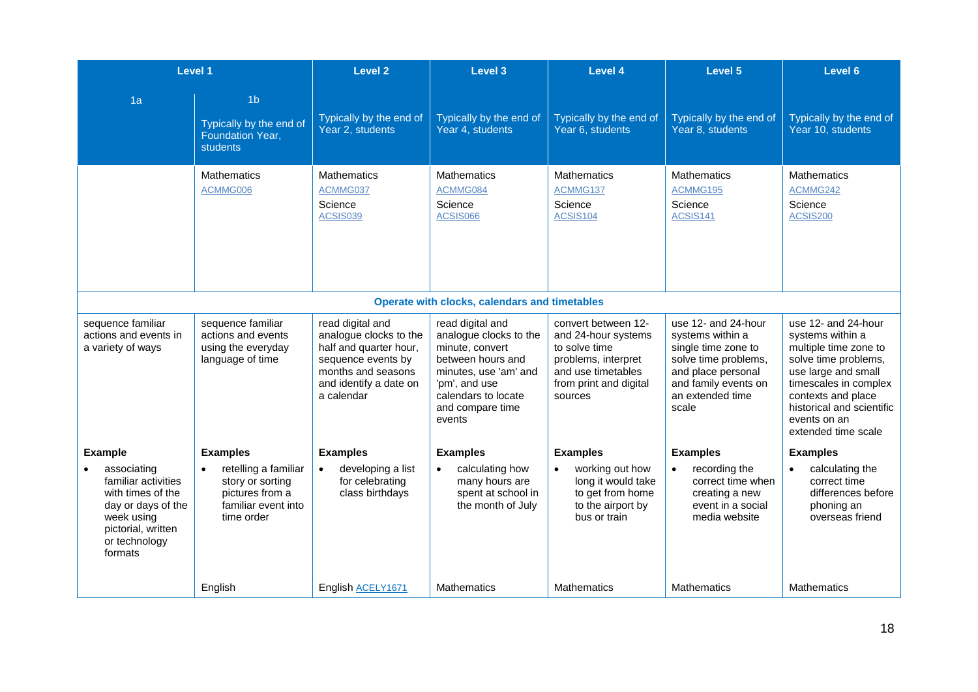|                                                                                                                                               | Level 1                                                                                          | Level <sub>2</sub>                                                                                                                                       | Level 3                                                                                                                                                                           | Level 4                                                                                                                                       | <b>Level 5</b>                                                                                                                                                    | Level 6                                                                                                                                                                                                                            |
|-----------------------------------------------------------------------------------------------------------------------------------------------|--------------------------------------------------------------------------------------------------|----------------------------------------------------------------------------------------------------------------------------------------------------------|-----------------------------------------------------------------------------------------------------------------------------------------------------------------------------------|-----------------------------------------------------------------------------------------------------------------------------------------------|-------------------------------------------------------------------------------------------------------------------------------------------------------------------|------------------------------------------------------------------------------------------------------------------------------------------------------------------------------------------------------------------------------------|
| 1a                                                                                                                                            | 1 <sub>b</sub><br>Typically by the end of<br><b>Foundation Year,</b><br><b>students</b>          | Typically by the end of<br>Year 2, students                                                                                                              | Typically by the end of<br>Year 4, students                                                                                                                                       | Typically by the end of<br>Year 6, students                                                                                                   | Typically by the end of<br>Year 8, students                                                                                                                       | Typically by the end of<br>Year 10, students                                                                                                                                                                                       |
|                                                                                                                                               | <b>Mathematics</b><br>ACMMG006                                                                   | <b>Mathematics</b><br>ACMMG037<br>Science<br><b>ACSIS039</b>                                                                                             | <b>Mathematics</b><br>ACMMG084<br>Science<br>ACSIS066                                                                                                                             | <b>Mathematics</b><br>ACMMG137<br>Science<br><b>ACSIS104</b>                                                                                  | <b>Mathematics</b><br>ACMMG195<br>Science<br>ACSIS141                                                                                                             | Mathematics<br>ACMMG242<br>Science<br>ACSIS200                                                                                                                                                                                     |
|                                                                                                                                               |                                                                                                  |                                                                                                                                                          | Operate with clocks, calendars and timetables                                                                                                                                     |                                                                                                                                               |                                                                                                                                                                   |                                                                                                                                                                                                                                    |
| sequence familiar<br>actions and events in<br>a variety of ways                                                                               | sequence familiar<br>actions and events<br>using the everyday<br>language of time                | read digital and<br>analogue clocks to the<br>half and quarter hour,<br>sequence events by<br>months and seasons<br>and identify a date on<br>a calendar | read digital and<br>analogue clocks to the<br>minute, convert<br>between hours and<br>minutes, use 'am' and<br>'pm', and use<br>calendars to locate<br>and compare time<br>events | convert between 12-<br>and 24-hour systems<br>to solve time<br>problems, interpret<br>and use timetables<br>from print and digital<br>sources | use 12- and 24-hour<br>systems within a<br>single time zone to<br>solve time problems,<br>and place personal<br>and family events on<br>an extended time<br>scale | use 12- and 24-hour<br>systems within a<br>multiple time zone to<br>solve time problems,<br>use large and small<br>timescales in complex<br>contexts and place<br>historical and scientific<br>events on an<br>extended time scale |
| <b>Example</b>                                                                                                                                | <b>Examples</b>                                                                                  | <b>Examples</b>                                                                                                                                          | <b>Examples</b>                                                                                                                                                                   | <b>Examples</b>                                                                                                                               | <b>Examples</b>                                                                                                                                                   | <b>Examples</b>                                                                                                                                                                                                                    |
| associating<br>familiar activities<br>with times of the<br>day or days of the<br>week using<br>pictorial, written<br>or technology<br>formats | retelling a familiar<br>story or sorting<br>pictures from a<br>familiar event into<br>time order | developing a list<br>$\bullet$<br>for celebrating<br>class birthdays                                                                                     | calculating how<br>many hours are<br>spent at school in<br>the month of July                                                                                                      | working out how<br>long it would take<br>to get from home<br>to the airport by<br>bus or train                                                | recording the<br>$\bullet$<br>correct time when<br>creating a new<br>event in a social<br>media website                                                           | calculating the<br>correct time<br>differences before<br>phoning an<br>overseas friend                                                                                                                                             |
|                                                                                                                                               | English                                                                                          | English ACELY1671                                                                                                                                        | <b>Mathematics</b>                                                                                                                                                                | <b>Mathematics</b>                                                                                                                            | <b>Mathematics</b>                                                                                                                                                | <b>Mathematics</b>                                                                                                                                                                                                                 |